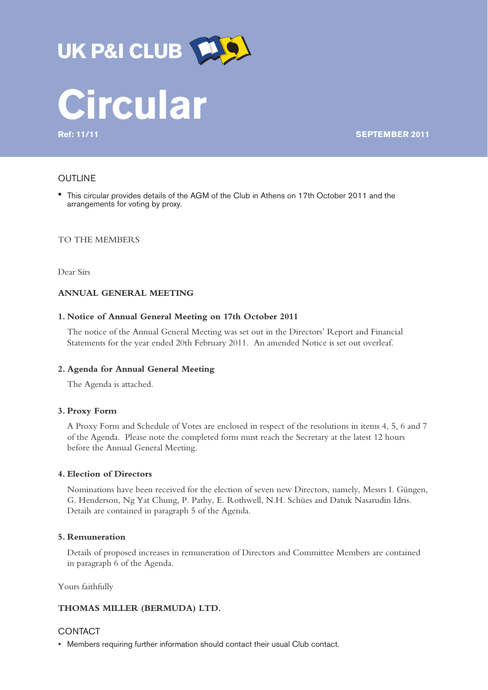



**Ref: 11/11 SEPTEMBER 2011**

# **OUTLINE**

! This circular provides details of the AGM of the Club in Athens on 17th October 2011 and the arrangements for voting by proxy.

# TO THE MEMBERS

Dear Sirs

# **ANNUAL GENERAL MEETING**

#### **1. Notice of Annual General Meeting on 17th October 2011**

The notice of the Annual General Meeting was set out in the Directors' Report and Financial Statements for the year ended 20th February 2011. An amended Notice is set out overleaf.

### **2. Agenda for Annual General Meeting**

The Agenda is attached.

#### **3. Proxy Form**

A Proxy Form and Schedule of Votes are enclosed in respect of the resolutions in items 4, 5, 6 and 7 of the Agenda. Please note the completed form must reach the Secretary at the latest 12 hours before the Annual General Meeting.

## **4. Election of Directors**

Nominations have been received for the election of seven new Directors, namely, Messrs I. Güngen, G. Henderson, Ng Yat Chung, P. Pathy, E. Rothwell, N.H. Schües and Datuk Nasarudin Idris. Details are contained in paragraph 5 of the Agenda.

## **5. Remuneration**

Details of proposed increases in remuneration of Directors and Committee Members are contained in paragraph 6 of the Agenda.

Yours faithfully

## **THOMAS MILLER (BERMUDA) LTD.**

# CONTACT

• Members requiring further information should contact their usual Club contact.